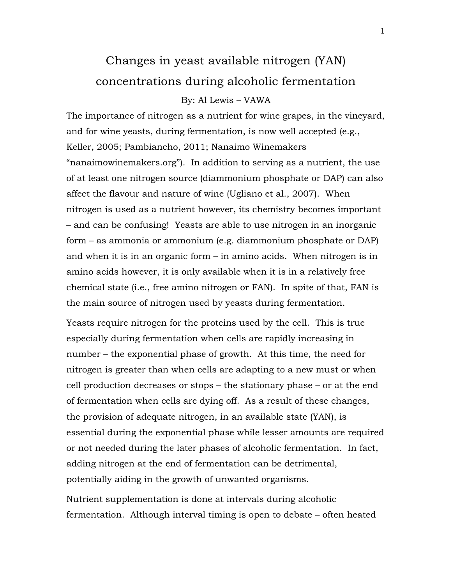# Changes in yeast available nitrogen (YAN) concentrations during alcoholic fermentation

## By: Al Lewis – VAWA

The importance of nitrogen as a nutrient for wine grapes, in the vineyard, and for wine yeasts, during fermentation, is now well accepted (e.g., Keller, 2005; Pambiancho, 2011; Nanaimo Winemakers "nanaimowinemakers.org"). In addition to serving as a nutrient, the use of at least one nitrogen source (diammonium phosphate or DAP) can also affect the flavour and nature of wine (Ugliano et al., 2007). When nitrogen is used as a nutrient however, its chemistry becomes important – and can be confusing! Yeasts are able to use nitrogen in an inorganic form – as ammonia or ammonium (e.g. diammonium phosphate or DAP) and when it is in an organic form – in amino acids. When nitrogen is in amino acids however, it is only available when it is in a relatively free chemical state (i.e., free amino nitrogen or FAN). In spite of that, FAN is the main source of nitrogen used by yeasts during fermentation.

Yeasts require nitrogen for the proteins used by the cell. This is true especially during fermentation when cells are rapidly increasing in number – the exponential phase of growth. At this time, the need for nitrogen is greater than when cells are adapting to a new must or when cell production decreases or stops – the stationary phase – or at the end of fermentation when cells are dying off. As a result of these changes, the provision of adequate nitrogen, in an available state (YAN), is essential during the exponential phase while lesser amounts are required or not needed during the later phases of alcoholic fermentation. In fact, adding nitrogen at the end of fermentation can be detrimental, potentially aiding in the growth of unwanted organisms.

Nutrient supplementation is done at intervals during alcoholic fermentation. Although interval timing is open to debate – often heated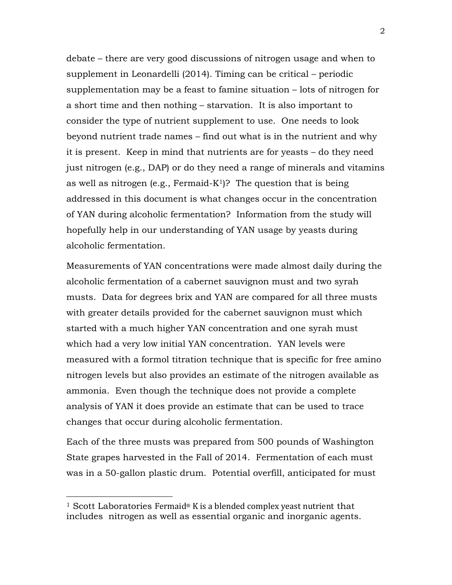debate – there are very good discussions of nitrogen usage and when to supplement in Leonardelli (2014). Timing can be critical – periodic supplementation may be a feast to famine situation – lots of nitrogen for a short time and then nothing – starvation. It is also important to consider the type of nutrient supplement to use. One needs to look beyond nutrient trade names – find out what is in the nutrient and why it is present. Keep in mind that nutrients are for yeasts – do they need just nitrogen (e.g., DAP) or do they need a range of minerals and vitamins as well as nitrogen (e.g., Fermaid-K<sup>1</sup>)? The question that is being addressed in this document is what changes occur in the concentration of YAN during alcoholic fermentation? Information from the study will hopefully help in our understanding of YAN usage by yeasts during alcoholic fermentation.

Measurements of YAN concentrations were made almost daily during the alcoholic fermentation of a cabernet sauvignon must and two syrah musts. Data for degrees brix and YAN are compared for all three musts with greater details provided for the cabernet sauvignon must which started with a much higher YAN concentration and one syrah must which had a very low initial YAN concentration. YAN levels were measured with a formol titration technique that is specific for free amino nitrogen levels but also provides an estimate of the nitrogen available as ammonia. Even though the technique does not provide a complete analysis of YAN it does provide an estimate that can be used to trace changes that occur during alcoholic fermentation.

Each of the three musts was prepared from 500 pounds of Washington State grapes harvested in the Fall of 2014. Fermentation of each must was in a 50-gallon plastic drum. Potential overfill, anticipated for must

<sup>&</sup>lt;sup>1</sup> Scott Laboratories Fermaid<sup>®</sup> K is a blended complex yeast nutrient that includes nitrogen as well as essential organic and inorganic agents.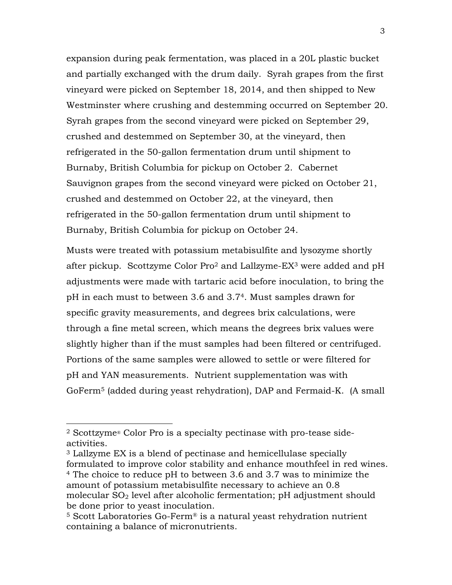expansion during peak fermentation, was placed in a 20L plastic bucket and partially exchanged with the drum daily. Syrah grapes from the first vineyard were picked on September 18, 2014, and then shipped to New Westminster where crushing and destemming occurred on September 20. Syrah grapes from the second vineyard were picked on September 29, crushed and destemmed on September 30, at the vineyard, then refrigerated in the 50-gallon fermentation drum until shipment to Burnaby, British Columbia for pickup on October 2. Cabernet Sauvignon grapes from the second vineyard were picked on October 21, crushed and destemmed on October 22, at the vineyard, then refrigerated in the 50-gallon fermentation drum until shipment to Burnaby, British Columbia for pickup on October 24.

Musts were treated with potassium metabisulfite and lysozyme shortly after pickup. Scottzyme Color Pro2 and Lallzyme-EX3 were added and pH adjustments were made with tartaric acid before inoculation, to bring the pH in each must to between 3.6 and 3.74. Must samples drawn for specific gravity measurements, and degrees brix calculations, were through a fine metal screen, which means the degrees brix values were slightly higher than if the must samples had been filtered or centrifuged. Portions of the same samples were allowed to settle or were filtered for pH and YAN measurements. Nutrient supplementation was with GoFerm5 (added during yeast rehydration), DAP and Fermaid-K. (A small

<sup>3</sup> Lallzyme EX is a blend of pectinase and hemicellulase specially formulated to improve color stability and enhance mouthfeel in red wines. <sup>4</sup> The choice to reduce pH to between 3.6 and 3.7 was to minimize the amount of potassium metabisulfite necessary to achieve an 0.8 molecular  $SO<sub>2</sub>$  level after alcoholic fermentation; pH adjustment should be done prior to yeast inoculation.<br><sup>5</sup> Scott Laboratories Go-Ferm® is a natural yeast rehydration nutrient

<sup>2</sup> Scottzyme® Color Pro is a specialty pectinase with pro-tease sideactivities.

containing a balance of micronutrients.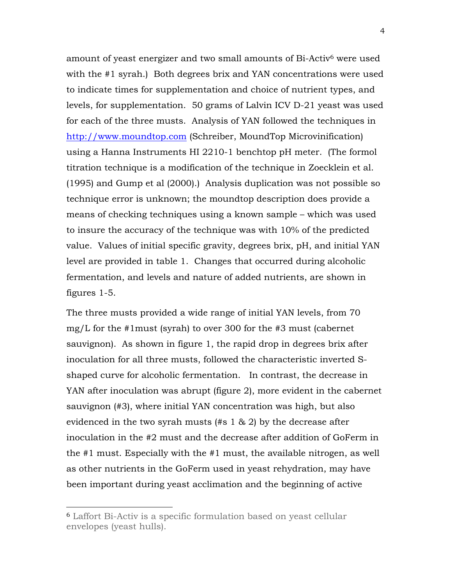amount of yeast energizer and two small amounts of Bi-Activ6 were used with the #1 syrah.) Both degrees brix and YAN concentrations were used to indicate times for supplementation and choice of nutrient types, and levels, for supplementation. 50 grams of Lalvin ICV D-21 yeast was used for each of the three musts. Analysis of YAN followed the techniques in http://www.moundtop.com (Schreiber, MoundTop Microvinification) using a Hanna Instruments HI 2210-1 benchtop pH meter. (The formol titration technique is a modification of the technique in Zoecklein et al. (1995) and Gump et al (2000).) Analysis duplication was not possible so technique error is unknown; the moundtop description does provide a means of checking techniques using a known sample – which was used to insure the accuracy of the technique was with 10% of the predicted value. Values of initial specific gravity, degrees brix, pH, and initial YAN level are provided in table 1. Changes that occurred during alcoholic fermentation, and levels and nature of added nutrients, are shown in figures 1-5.

The three musts provided a wide range of initial YAN levels, from 70 mg/L for the #1must (syrah) to over 300 for the #3 must (cabernet sauvignon). As shown in figure 1, the rapid drop in degrees brix after inoculation for all three musts, followed the characteristic inverted Sshaped curve for alcoholic fermentation. In contrast, the decrease in YAN after inoculation was abrupt (figure 2), more evident in the cabernet sauvignon (#3), where initial YAN concentration was high, but also evidenced in the two syrah musts (#s 1 & 2) by the decrease after inoculation in the #2 must and the decrease after addition of GoFerm in the #1 must. Especially with the #1 must, the available nitrogen, as well as other nutrients in the GoFerm used in yeast rehydration, may have been important during yeast acclimation and the beginning of active

 <sup>6</sup> Laffort Bi-Activ is a specific formulation based on yeast cellular envelopes (yeast hulls).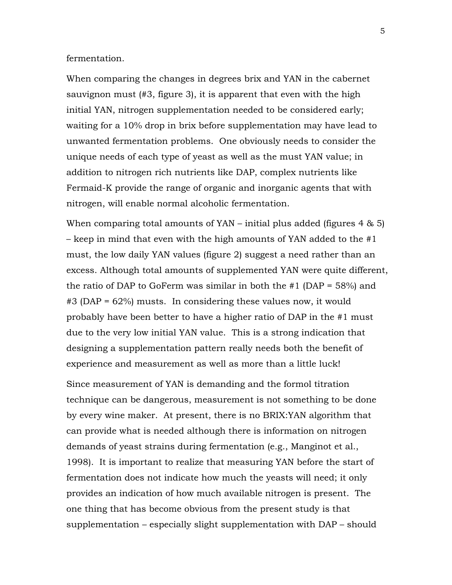### fermentation.

When comparing the changes in degrees brix and YAN in the cabernet sauvignon must (#3, figure 3), it is apparent that even with the high initial YAN, nitrogen supplementation needed to be considered early; waiting for a 10% drop in brix before supplementation may have lead to unwanted fermentation problems. One obviously needs to consider the unique needs of each type of yeast as well as the must YAN value; in addition to nitrogen rich nutrients like DAP, complex nutrients like Fermaid-K provide the range of organic and inorganic agents that with nitrogen, will enable normal alcoholic fermentation.

When comparing total amounts of  $YAN - \text{initial plus added (figures 4 & 5)}$ – keep in mind that even with the high amounts of YAN added to the #1 must, the low daily YAN values (figure 2) suggest a need rather than an excess. Although total amounts of supplemented YAN were quite different, the ratio of DAP to GoFerm was similar in both the  $\#1$  (DAP = 58%) and #3 (DAP = 62%) musts. In considering these values now, it would probably have been better to have a higher ratio of DAP in the #1 must due to the very low initial YAN value. This is a strong indication that designing a supplementation pattern really needs both the benefit of experience and measurement as well as more than a little luck!

Since measurement of YAN is demanding and the formol titration technique can be dangerous, measurement is not something to be done by every wine maker. At present, there is no BRIX:YAN algorithm that can provide what is needed although there is information on nitrogen demands of yeast strains during fermentation (e.g., Manginot et al., 1998). It is important to realize that measuring YAN before the start of fermentation does not indicate how much the yeasts will need; it only provides an indication of how much available nitrogen is present. The one thing that has become obvious from the present study is that supplementation – especially slight supplementation with DAP – should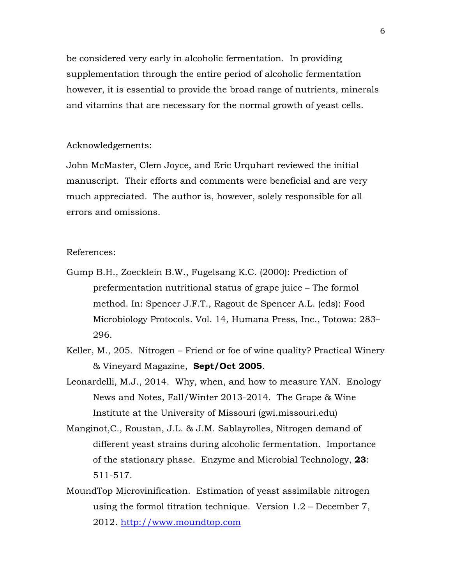be considered very early in alcoholic fermentation. In providing supplementation through the entire period of alcoholic fermentation however, it is essential to provide the broad range of nutrients, minerals and vitamins that are necessary for the normal growth of yeast cells.

#### Acknowledgements:

John McMaster, Clem Joyce, and Eric Urquhart reviewed the initial manuscript. Their efforts and comments were beneficial and are very much appreciated. The author is, however, solely responsible for all errors and omissions.

#### References:

- Gump B.H., Zoecklein B.W., Fugelsang K.C. (2000): Prediction of prefermentation nutritional status of grape juice – The formol method. In: Spencer J.F.T., Ragout de Spencer A.L. (eds): Food Microbiology Protocols. Vol. 14, Humana Press, Inc., Totowa: 283– 296.
- Keller, M., 205. Nitrogen Friend or foe of wine quality? Practical Winery & Vineyard Magazine, **Sept/Oct 2005**.
- Leonardelli, M.J., 2014. Why, when, and how to measure YAN. Enology News and Notes, Fall/Winter 2013-2014. The Grape & Wine Institute at the University of Missouri (gwi.missouri.edu)
- Manginot,C., Roustan, J.L. & J.M. Sablayrolles, Nitrogen demand of different yeast strains during alcoholic fermentation. Importance of the stationary phase. Enzyme and Microbial Technology, **23**: 511-517.
- MoundTop Microvinification. Estimation of yeast assimilable nitrogen using the formol titration technique. Version 1.2 – December 7, 2012. http://www.moundtop.com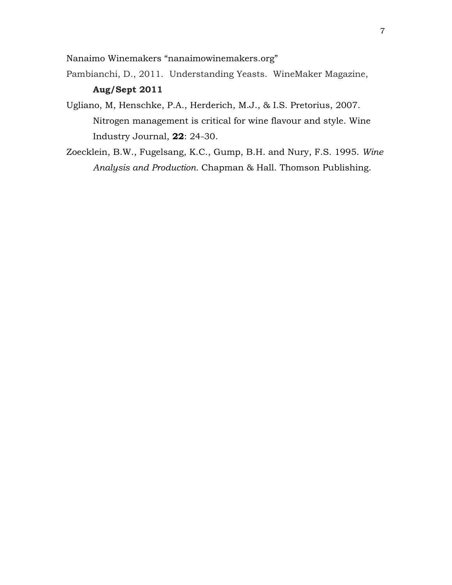Nanaimo Winemakers "nanaimowinemakers.org"

Pambianchi, D., 2011. Understanding Yeasts. WineMaker Magazine, **Aug/Sept 2011**

- Ugliano, M, Henschke, P.A., Herderich, M.J., & I.S. Pretorius, 2007. Nitrogen management is critical for wine flavour and style. Wine Industry Journal, **22**: 24-30.
- Zoecklein, B.W., Fugelsang, K.C., Gump, B.H. and Nury, F.S. 1995. *Wine Analysis and Production.* Chapman & Hall. Thomson Publishing.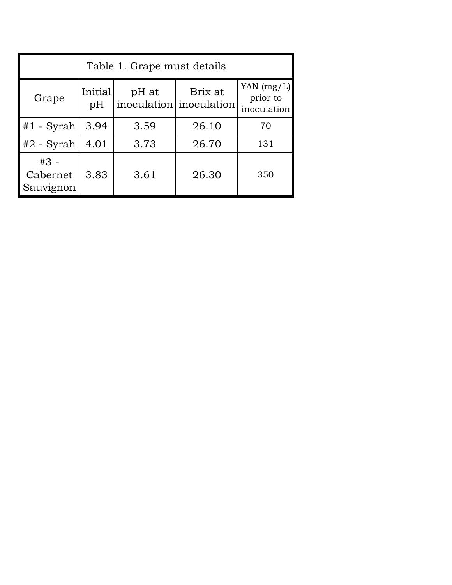| Table 1. Grape must details     |               |       |                                    |                                         |
|---------------------------------|---------------|-------|------------------------------------|-----------------------------------------|
| Grape                           | Initial<br>pH | pH at | Brix at<br>inoculation inoculation | YAN $(mg/L)$<br>prior to<br>inoculation |
| $#1$ - Syrah                    | 3.94          | 3.59  | 26.10                              | 70                                      |
| $#2$ - Syrah                    | 4.01          | 3.73  | 26.70                              | 131                                     |
| $#3 -$<br>Cabernet<br>Sauvignon | 3.83          | 3.61  | 26.30                              | 350                                     |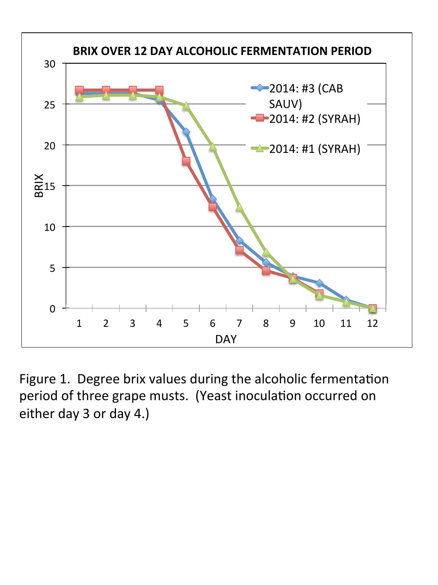

Figure 1. Degree brix values during the alcoholic fermentation period of three grape musts. (Yeast inoculation occurred on either day 3 or day 4.)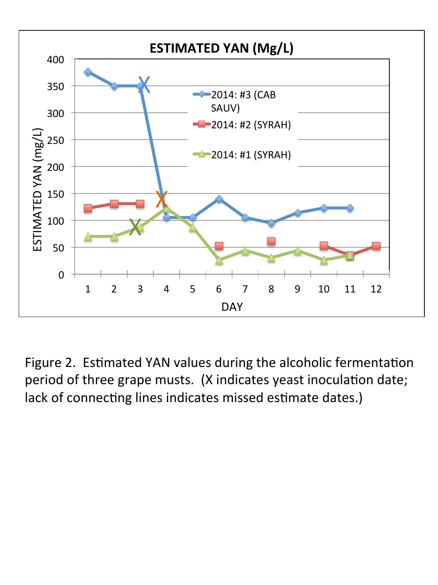

Figure 2. Estimated YAN values during the alcoholic fermentation period of three grape musts. (X indicates yeast inoculation date; lack of connecting lines indicates missed estimate dates.)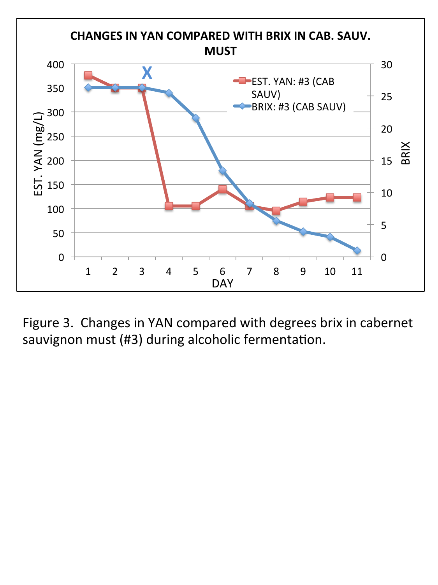

Figure 3. Changes in YAN compared with degrees brix in cabernet sauvignon must (#3) during alcoholic fermentation.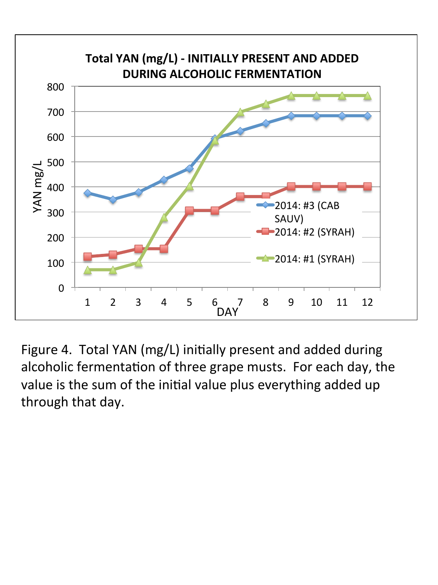

Figure 4. Total YAN (mg/L) initially present and added during alcoholic fermentation of three grape musts. For each day, the value is the sum of the initial value plus everything added up through that day.